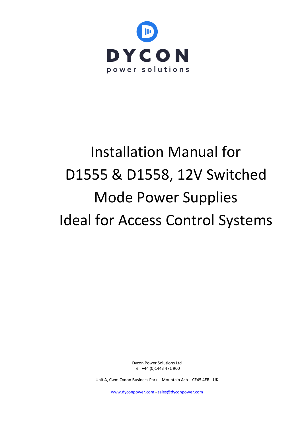

# Installation Manual for D1555 & D1558, 12V Switched Mode Power Supplies Ideal for Access Control Systems

Dycon Power Solutions Ltd Tel: +44 (0)1443 471 900

Unit A, Cwm Cynon Business Park – Mountain Ash – CF45 4ER - UK

[www.dyconpower.com](http://www.dyconpower.com/) - [sales@dyconpower.com](mailto:sales@dyconpower.com)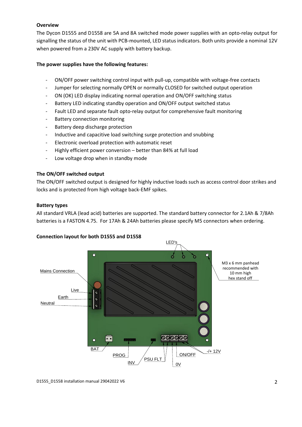# **Overview**

The Dycon D1555 and D1558 are 5A and 8A switched mode power supplies with an opto-relay output for signalling the status of the unit with PCB-mounted, LED status indicators. Both units provide a nominal 12V when powered from a 230V AC supply with battery backup.

## **The power supplies have the following features:**

- ON/OFF power switching control input with pull-up, compatible with voltage-free contacts
- Jumper for selecting normally OPEN or normally CLOSED for switched output operation
- ON (OK) LED display indicating normal operation and ON/OFF switching status
- Battery LED indicating standby operation and ON/OFF output switched status
- Fault LED and separate fault opto-relay output for comprehensive fault monitoring
- Battery connection monitoring
- Battery deep discharge protection
- Inductive and capacitive load switching surge protection and snubbing
- Electronic overload protection with automatic reset
- Highly efficient power conversion better than 84% at full load
- Low voltage drop when in standby mode

# **The ON/OFF switched output**

The ON/OFF switched output is designed for highly inductive loads such as access control door strikes and locks and is protected from high voltage back-EMF spikes.

## **Battery types**

All standard VRLA (lead acid) batteries are supported. The standard battery connector for 2.1Ah & 7/8Ah batteries is a FASTON 4.75. For 17Ah & 24Ah batteries please specify M5 connectors when ordering.

## **Connection layout for both D1555 and D1558**



D1555\_D1558 installation manual 29042022 V6 2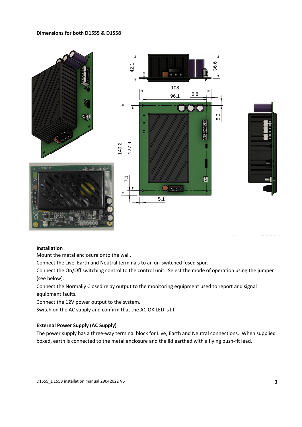## **Dimensions for both D1555 & D1558**



## **Installation**

Mount the metal enclosure onto the wall.

Connect the Live, Earth and Neutral terminals to an un-switched fused spur.

Connect the On/Off switching control to the control unit. Select the mode of operation using the jumper (see below).

Connect the Normally Closed relay output to the monitoring equipment used to report and signal equipment faults.

Connect the 12V power output to the system.

Switch on the AC supply and confirm that the AC OK LED is lit

# **External Power Supply (AC Supply)**

The power supply has a three-way terminal block for Live, Earth and Neutral connections. When supplied boxed, earth is connected to the metal enclosure and the lid earthed with a flying push-fit lead.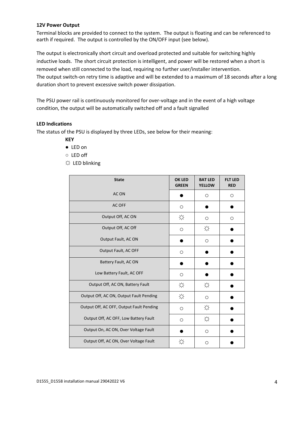### **12V Power Output**

Terminal blocks are provided to connect to the system. The output is floating and can be referenced to earth if required. The output is controlled by the ON/OFF input (see below).

The output is electronically short circuit and overload protected and suitable for switching highly inductive loads. The short circuit protection is intelligent, and power will be restored when a short is removed when still connected to the load, requiring no further user/installer intervention. The output switch-on retry time is adaptive and will be extended to a maximum of 18 seconds after a long duration short to prevent excessive switch power dissipation.

The PSU power rail is continuously monitored for over-voltage and in the event of a high voltage condition, the output will be automatically switched off and a fault signalled

#### **LED Indications**

The status of the PSU is displayed by three LEDs, see below for their meaning:

- **KEY**
- LED on
- LED off
- ☼ LED blinking

| <b>State</b>                             | <b>OK LED</b><br><b>GREEN</b> | <b>BAT LED</b><br><b>YELLOW</b> | <b>FLT LED</b><br><b>RED</b> |
|------------------------------------------|-------------------------------|---------------------------------|------------------------------|
| AC ON                                    |                               | $\circ$                         | O                            |
| AC OFF                                   | O                             |                                 |                              |
| Output Off, AC ON                        | ☆                             | $\circ$                         | O                            |
| Output Off, AC Off                       | O                             | ☆                               |                              |
| Output Fault, AC ON                      |                               | $\circ$                         |                              |
| Output Fault, AC OFF                     | O                             |                                 |                              |
| Battery Fault, AC ON                     |                               |                                 |                              |
| Low Battery Fault, AC OFF                | $\circ$                       |                                 |                              |
| Output Off, AC ON, Battery Fault         | ☆                             | ☆                               |                              |
| Output Off, AC ON, Output Fault Pending  | ☆                             | $\circ$                         |                              |
| Output Off, AC OFF, Output Fault Pending | O                             | ☆                               |                              |
| Output Off, AC OFF, Low Battery Fault    | $\circ$                       | ☆                               |                              |
| Output On, AC ON, Over Voltage Fault     |                               | $\circ$                         |                              |
| Output Off, AC ON, Over Voltage Fault    | ╳                             | $\circ$                         |                              |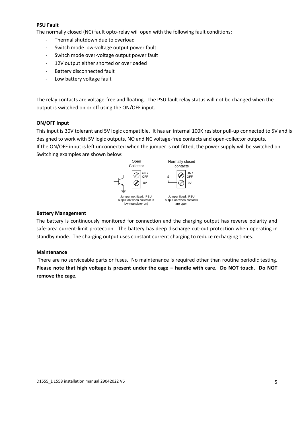## **PSU Fault**

The normally closed (NC) fault opto-relay will open with the following fault conditions:

- Thermal shutdown due to overload
- Switch mode low-voltage output power fault
- Switch mode over-voltage output power fault
- 12V output either shorted or overloaded
- Battery disconnected fault
- Low battery voltage fault

The relay contacts are voltage-free and floating. The PSU fault relay status will not be changed when the output is switched on or off using the ON/OFF input.

### **ON/OFF Input**

This input is 30V tolerant and 5V logic compatible. It has an internal 100K resistor pull-up connected to 5V and is designed to work with 5V logic outputs, NO and NC voltage-free contacts and open-collector outputs.

If the ON/OFF input is left unconnected when the jumper is not fitted, the power supply will be switched on. Switching examples are shown below:



## **Battery Management**

The battery is continuously monitored for connection and the charging output has reverse polarity and safe-area current-limit protection. The battery has deep discharge cut-out protection when operating in standby mode. The charging output uses constant current charging to reduce recharging times.

#### **Maintenance**

There are no serviceable parts or fuses. No maintenance is required other than routine periodic testing. **Please note that high voltage is present under the cage – handle with care. Do NOT touch. Do NOT remove the cage.**